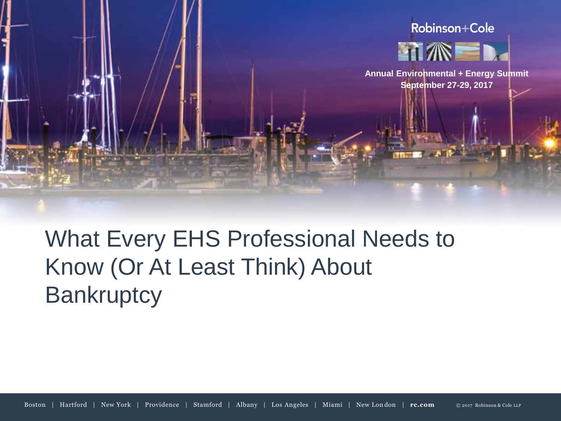

What Every EHS Professional Needs to Know (Or At Least Think) About **Bankruptcy**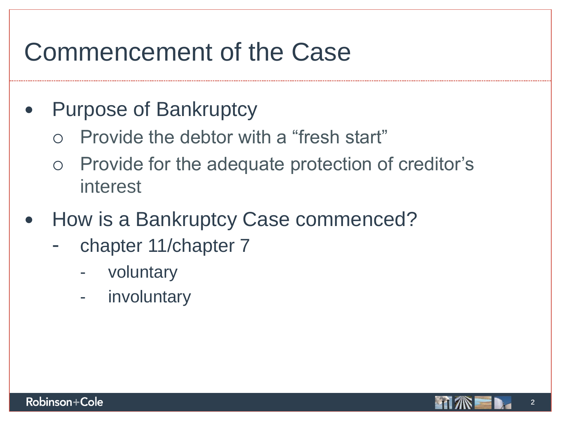## Commencement of the Case

### • Purpose of Bankruptcy

- Provide the debtor with a "fresh start"
- Provide for the adequate protection of creditor's interest
- How is a Bankruptcy Case commenced?
	- chapter 11/chapter 7
		- **voluntary**
		- involuntary



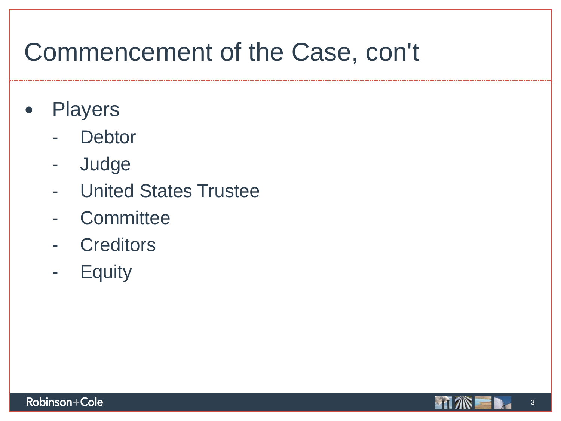## Commencement of the Case, con't

- Players
	- **Debtor**
	- Judge
	- United States Trustee
	- Committee
	- Creditors
	- Equity

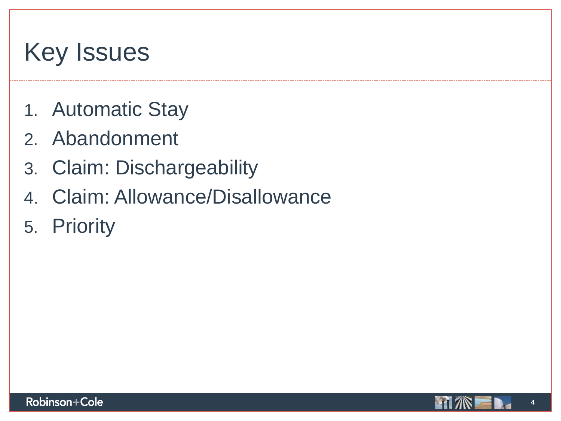# Key Issues

- 1. Automatic Stay
- 2. Abandonment
- 3. Claim: Dischargeability
- 4. Claim: Allowance/Disallowance
- 5. Priority

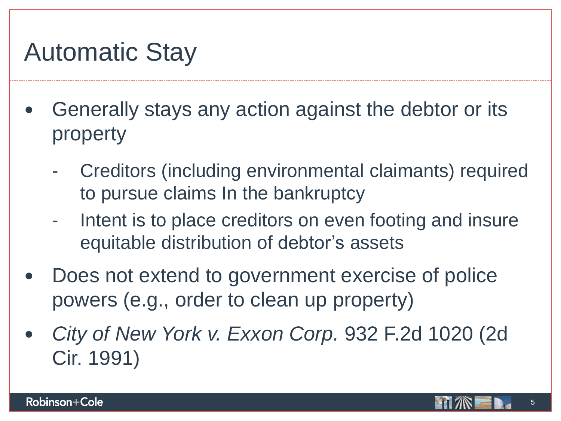## Automatic Stay

- Generally stays any action against the debtor or its property
	- Creditors (including environmental claimants) required to pursue claims In the bankruptcy
	- Intent is to place creditors on even footing and insure equitable distribution of debtor's assets
- Does not extend to government exercise of police powers (e.g., order to clean up property)
- *City of New York v. Exxon Corp.* 932 F.2d 1020 (2d Cir. 1991)

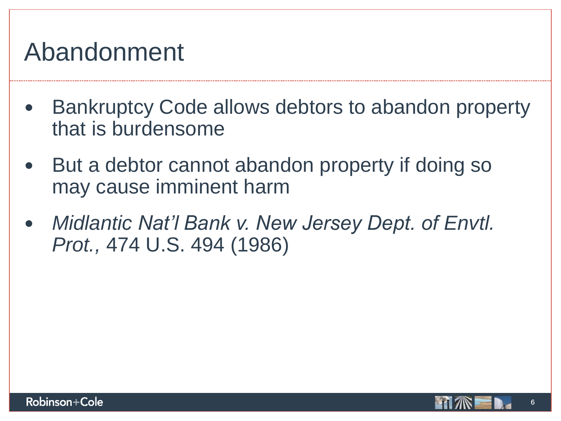### Abandonment

- Bankruptcy Code allows debtors to abandon property that is burdensome
- But a debtor cannot abandon property if doing so may cause imminent harm
- *Midlantic Nat'l Bank v. New Jersey Dept. of Envtl. Prot.,* 474 U.S. 494 (1986)

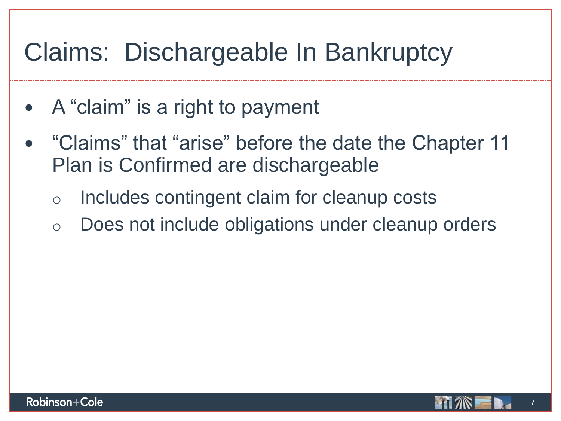- A "claim" is a right to payment
- "Claims" that "arise" before the date the Chapter 11 Plan is Confirmed are dischargeable
	- o Includes contingent claim for cleanup costs
	- o Does not include obligations under cleanup orders

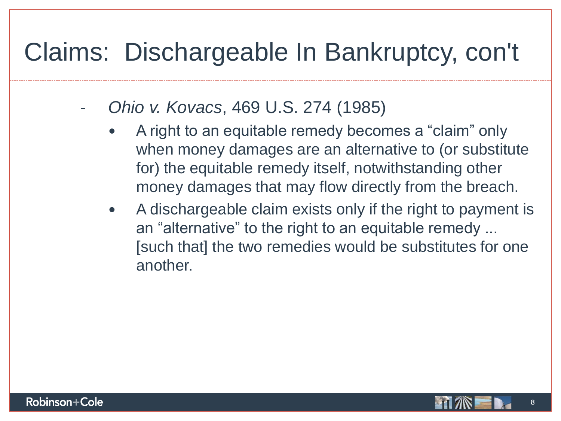- *Ohio v. Kovacs*, 469 U.S. 274 (1985)
	- A right to an equitable remedy becomes a "claim" only when money damages are an alternative to (or substitute for) the equitable remedy itself, notwithstanding other money damages that may flow directly from the breach.
	- A dischargeable claim exists only if the right to payment is an "alternative" to the right to an equitable remedy ... [such that] the two remedies would be substitutes for one another.

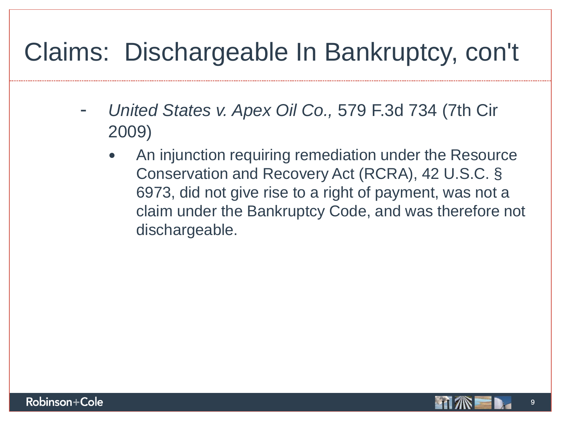- *United States v. Apex Oil Co.,* 579 F.3d 734 (7th Cir 2009)
	- An injunction requiring remediation under the Resource Conservation and Recovery Act (RCRA), 42 U.S.C. § 6973, did not give rise to a right of payment, was not a claim under the Bankruptcy Code, and was therefore not dischargeable.

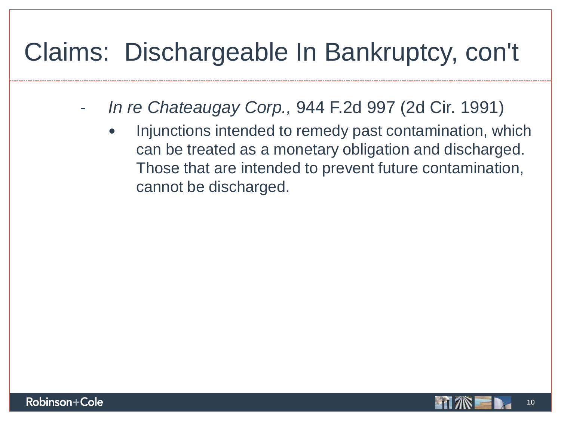- *In re Chateaugay Corp.,* 944 F.2d 997 (2d Cir. 1991)
	- Injunctions intended to remedy past contamination, which can be treated as a monetary obligation and discharged. Those that are intended to prevent future contamination, cannot be discharged.

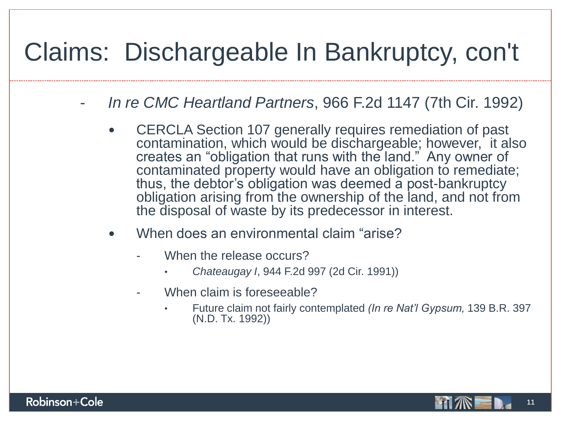- *In re CMC Heartland Partners*, 966 F.2d 1147 (7th Cir. 1992)
	- CERCLA Section 107 generally requires remediation of past contamination, which would be dischargeable; however, it also creates an "obligation that runs with the land." Any owner of contaminated property would have an obligation to remediate; thus, the debtor's obligation was deemed a post-bankruptcy obligation arising from the ownership of the land, and not from the disposal of waste by its predecessor in interest.
	- When does an environmental claim "arise?
		- When the release occurs?
			- *Chateaugay I*, 944 F.2d 997 (2d Cir. 1991))
		- When claim is foreseeable?
			- Future claim not fairly contemplated *(In re Nat'l Gypsum,* 139 B.R. 397 (N.D. Tx. 1992))

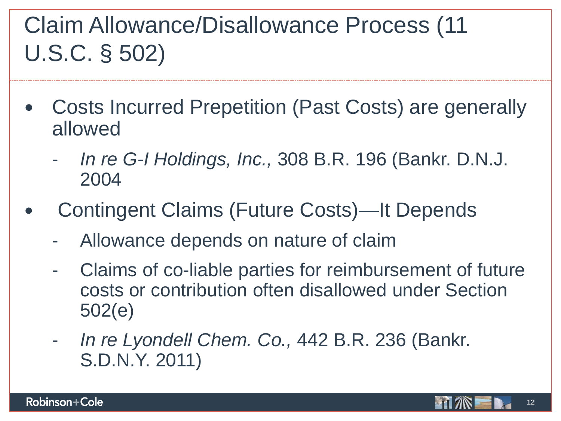## Claim Allowance/Disallowance Process (11 U.S.C. § 502)

- Costs Incurred Prepetition (Past Costs) are generally allowed
	- *In re G-I Holdings, Inc.,* 308 B.R. 196 (Bankr. D.N.J. 2004
- Contingent Claims (Future Costs)—It Depends
	- Allowance depends on nature of claim
	- Claims of co-liable parties for reimbursement of future costs or contribution often disallowed under Section 502(e)
	- *In re Lyondell Chem. Co.,* 442 B.R. 236 (Bankr. S.D.N.Y. 2011)

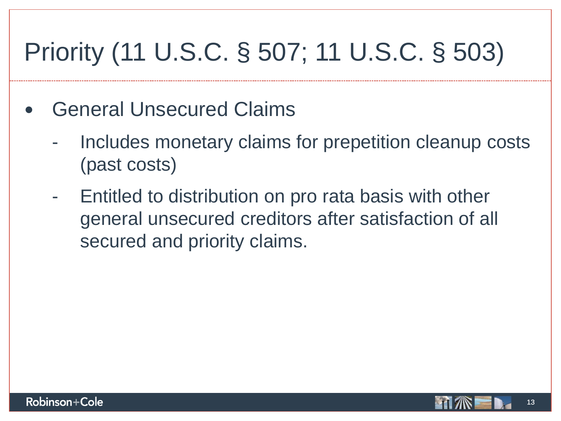# Priority (11 U.S.C. § 507; 11 U.S.C. § 503)

- General Unsecured Claims
	- Includes monetary claims for prepetition cleanup costs (past costs)
	- Entitled to distribution on pro rata basis with other general unsecured creditors after satisfaction of all secured and priority claims.

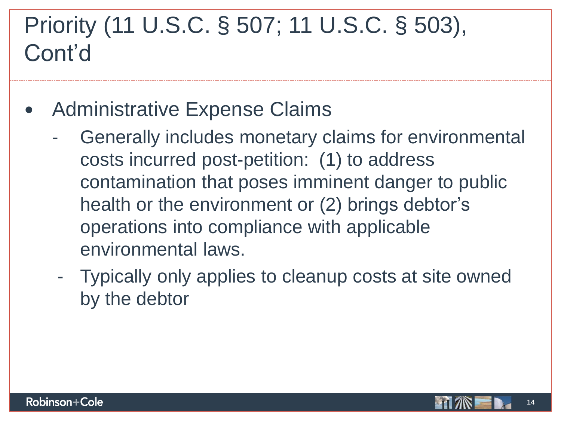### Priority (11 U.S.C. § 507; 11 U.S.C. § 503), Cont'd

- Administrative Expense Claims
	- Generally includes monetary claims for environmental costs incurred post-petition: (1) to address contamination that poses imminent danger to public health or the environment or (2) brings debtor's operations into compliance with applicable environmental laws.
	- Typically only applies to cleanup costs at site owned by the debtor

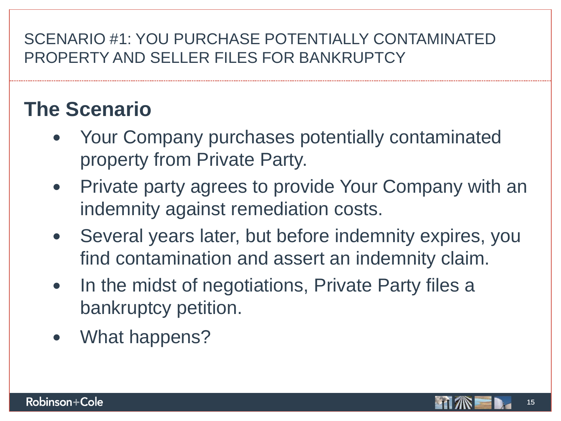#### SCENARIO #1: YOU PURCHASE POTENTIALLY CONTAMINATED PROPERTY AND SELLER FILES FOR BANKRUPTCY

### **The Scenario**

- Your Company purchases potentially contaminated property from Private Party.
- Private party agrees to provide Your Company with an indemnity against remediation costs.
- Several years later, but before indemnity expires, you find contamination and assert an indemnity claim.
- In the midst of negotiations, Private Party files a bankruptcy petition.
- What happens?

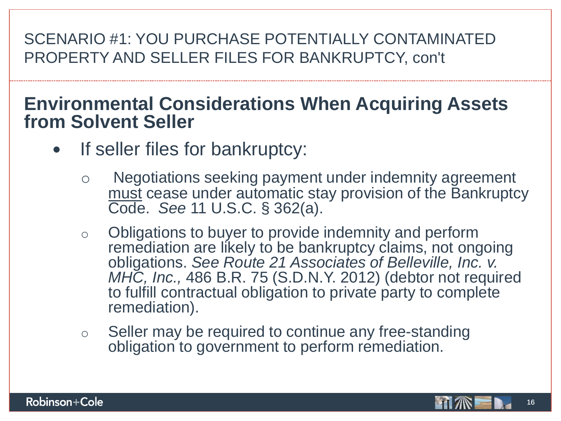#### SCENARIO #1: YOU PURCHASE POTENTIALLY CONTAMINATED PROPERTY AND SELLER FILES FOR BANKRUPTCY, con't

### **Environmental Considerations When Acquiring Assets from Solvent Seller**

- If seller files for bankruptcy:
	- Negotiations seeking payment under indemnity agreement must cease under automatic stay provision of the Bankruptcy Code. *See* 11 U.S.C. § 362(a).
	- o Obligations to buyer to provide indemnity and perform remediation are likely to be bankruptcy claims, not ongoing obligations. *See Route 21 Associates of Belleville, Inc. v. MHC, Inc.,* 486 B.R. 75 (S.D.N.Y. 2012) (debtor not required to fulfill contractual obligation to private party to complete remediation).
	- o Seller may be required to continue any free-standing obligation to government to perform remediation.

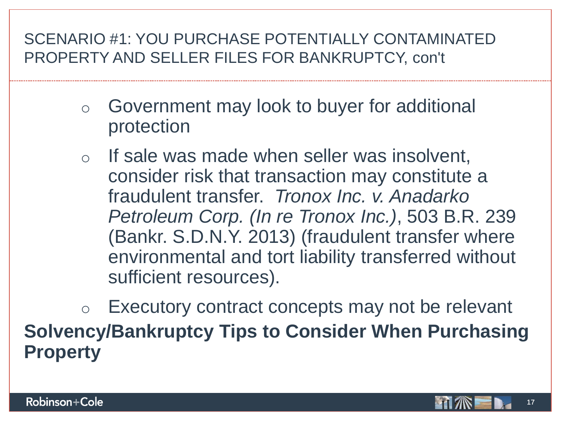#### SCENARIO #1: YOU PURCHASE POTENTIALLY CONTAMINATED PROPERTY AND SELLER FILES FOR BANKRUPTCY, con't

- o Government may look to buyer for additional protection
- o If sale was made when seller was insolvent, consider risk that transaction may constitute a fraudulent transfer. *Tronox Inc. v. Anadarko Petroleum Corp. (In re Tronox Inc.)*, 503 B.R. 239 (Bankr. S.D.N.Y. 2013) (fraudulent transfer where environmental and tort liability transferred without sufficient resources).

o Executory contract concepts may not be relevant **Solvency/Bankruptcy Tips to Consider When Purchasing Property**

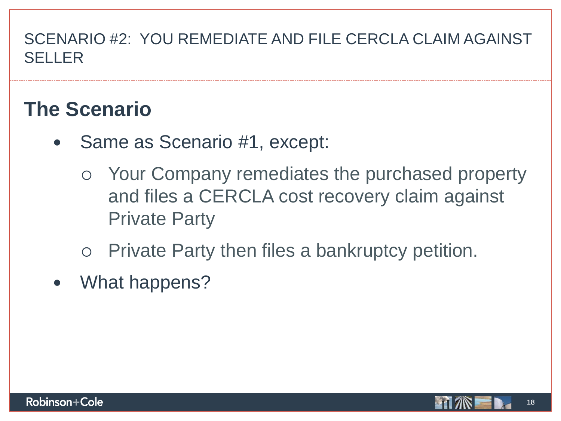### SCENARIO #2: YOU REMEDIATE AND FILE CERCLA CLAIM AGAINST SELLER

### **The Scenario**

- Same as Scenario #1, except:
	- Your Company remediates the purchased property and files a CERCLA cost recovery claim against Private Party
	- Private Party then files a bankruptcy petition.
- What happens?

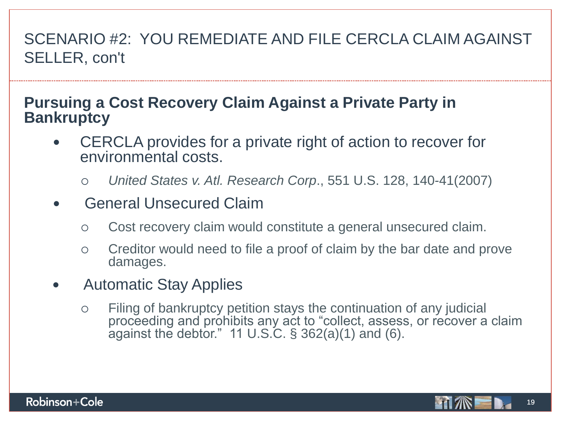### SCENARIO #2: YOU REMEDIATE AND FILE CERCLA CLAIM AGAINST SELLER, con't

#### **Pursuing a Cost Recovery Claim Against a Private Party in Bankruptcy**

- CERCLA provides for a private right of action to recover for environmental costs.
	- *United States v. Atl. Research Corp*., 551 U.S. 128, 140-41(2007)
- General Unsecured Claim
	- Cost recovery claim would constitute a general unsecured claim.
	- Creditor would need to file a proof of claim by the bar date and prove damages.
- Automatic Stay Applies
	- Filing of bankruptcy petition stays the continuation of any judicial proceeding and prohibits any act to "collect, assess, or recover a claim against the debtor." 11 U.S.C.  $\S$  362(a)(1) and (6).



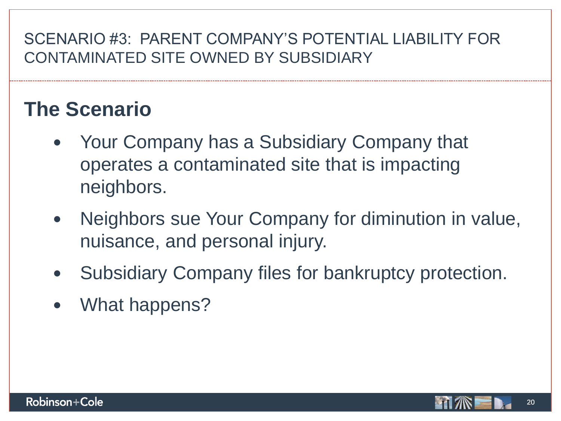#### SCENARIO #3: PARENT COMPANY'S POTENTIAL LIABILITY FOR CONTAMINATED SITE OWNED BY SUBSIDIARY

### **The Scenario**

- Your Company has a Subsidiary Company that operates a contaminated site that is impacting neighbors.
- Neighbors sue Your Company for diminution in value, nuisance, and personal injury.
- Subsidiary Company files for bankruptcy protection.
- What happens?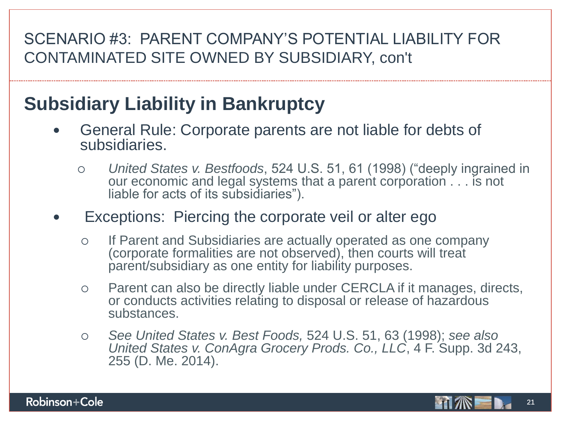#### SCENARIO #3: PARENT COMPANY'S POTENTIAL LIABILITY FOR CONTAMINATED SITE OWNED BY SUBSIDIARY, con't

### **Subsidiary Liability in Bankruptcy**

- General Rule: Corporate parents are not liable for debts of subsidiaries.
	- *United States v. Bestfoods*, 524 U.S. 51, 61 (1998) ("deeply ingrained in our economic and legal systems that a parent corporation . . . is not liable for acts of its subsidiaries").
- Exceptions: Piercing the corporate veil or alter ego
	- o If Parent and Subsidiaries are actually operated as one company (corporate formalities are not observed), then courts will treat parent/subsidiary as one entity for liability purposes.
	- Parent can also be directly liable under CERCLA if it manages, directs, or conducts activities relating to disposal or release of hazardous substances.
	- *See United States v. Best Foods,* 524 U.S. 51, 63 (1998); *see also United States v. ConAgra Grocery Prods. Co., LLC*, 4 F. Supp. 3d 243, 255 (D. Me. 2014).

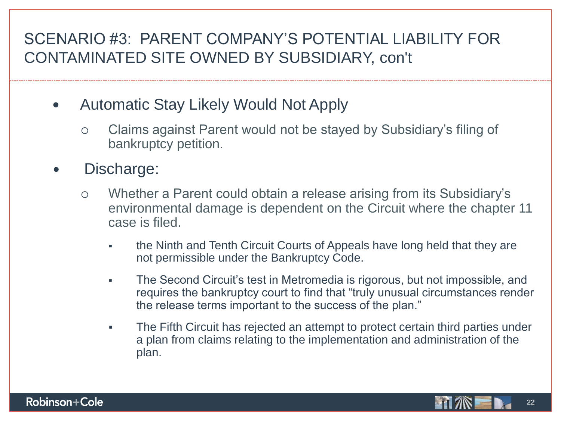#### SCENARIO #3: PARENT COMPANY'S POTENTIAL LIABILITY FOR CONTAMINATED SITE OWNED BY SUBSIDIARY, con't

- Automatic Stay Likely Would Not Apply
	- Claims against Parent would not be stayed by Subsidiary's filing of bankruptcy petition.
- Discharge:
	- Whether a Parent could obtain a release arising from its Subsidiary's environmental damage is dependent on the Circuit where the chapter 11 case is filed.
		- the Ninth and Tenth Circuit Courts of Appeals have long held that they are not permissible under the Bankruptcy Code.
		- The Second Circuit's test in Metromedia is rigorous, but not impossible, and requires the bankruptcy court to find that "truly unusual circumstances render the release terms important to the success of the plan."
		- The Fifth Circuit has rejected an attempt to protect certain third parties under a plan from claims relating to the implementation and administration of the plan.



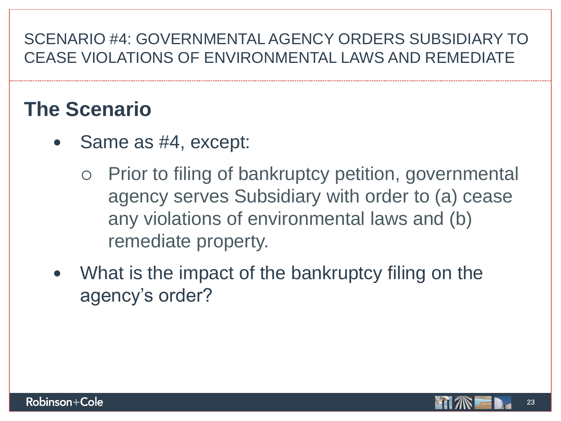### SCENARIO #4: GOVERNMENTAL AGENCY ORDERS SUBSIDIARY TO CEASE VIOLATIONS OF ENVIRONMENTAL LAWS AND REMEDIATE

### **The Scenario**

- Same as #4, except:
	- Prior to filing of bankruptcy petition, governmental agency serves Subsidiary with order to (a) cease any violations of environmental laws and (b) remediate property.
- What is the impact of the bankruptcy filing on the agency's order?

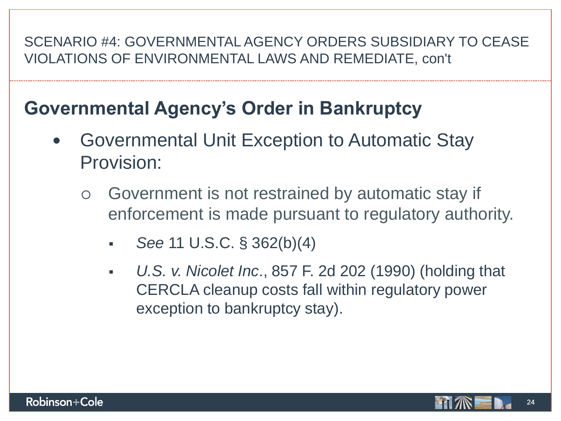#### SCENARIO #4: GOVERNMENTAL AGENCY ORDERS SUBSIDIARY TO CEASE VIOLATIONS OF ENVIRONMENTAL LAWS AND REMEDIATE, con't

### **Governmental Agency's Order in Bankruptcy**

- Governmental Unit Exception to Automatic Stay Provision:
	- Government is not restrained by automatic stay if enforcement is made pursuant to regulatory authority.
		- *See* 11 U.S.C. § 362(b)(4)
		- *U.S. v. Nicolet Inc*., 857 F. 2d 202 (1990) (holding that CERCLA cleanup costs fall within regulatory power exception to bankruptcy stay).



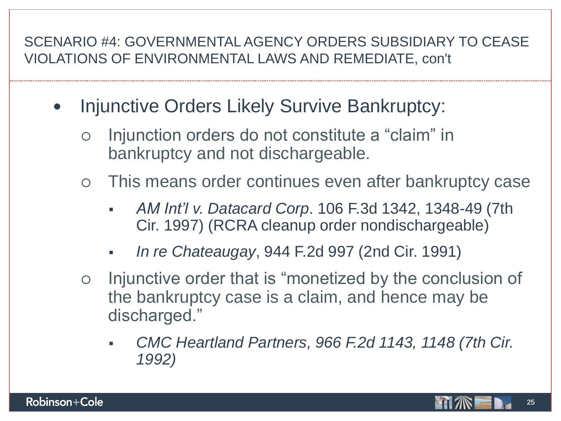#### SCENARIO #4: GOVERNMENTAL AGENCY ORDERS SUBSIDIARY TO CEASE VIOLATIONS OF ENVIRONMENTAL LAWS AND REMEDIATE, con't

- Injunctive Orders Likely Survive Bankruptcy:
	- Injunction orders do not constitute a "claim" in bankruptcy and not dischargeable.
	- This means order continues even after bankruptcy case
		- *AM Int'l v. Datacard Corp*. 106 F.3d 1342, 1348-49 (7th Cir. 1997) (RCRA cleanup order nondischargeable)
		- *In re Chateaugay*, 944 F.2d 997 (2nd Cir. 1991)
	- o Injunctive order that is "monetized by the conclusion of the bankruptcy case is a claim, and hence may be discharged."
		- *CMC Heartland Partners, 966 F.2d 1143, 1148 (7th Cir. 1992)*

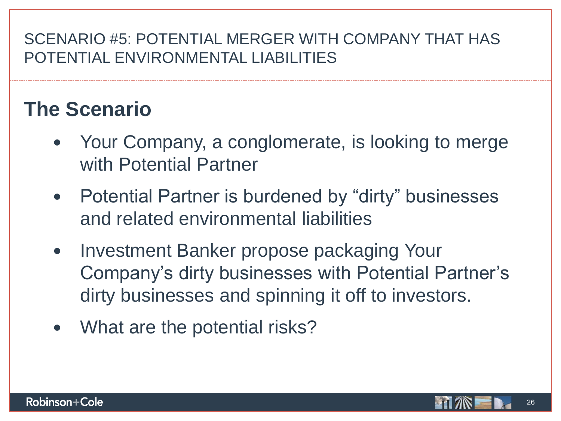### **The Scenario**

- Your Company, a conglomerate, is looking to merge with Potential Partner
- Potential Partner is burdened by "dirty" businesses and related environmental liabilities
- Investment Banker propose packaging Your Company's dirty businesses with Potential Partner's dirty businesses and spinning it off to investors.
- What are the potential risks?

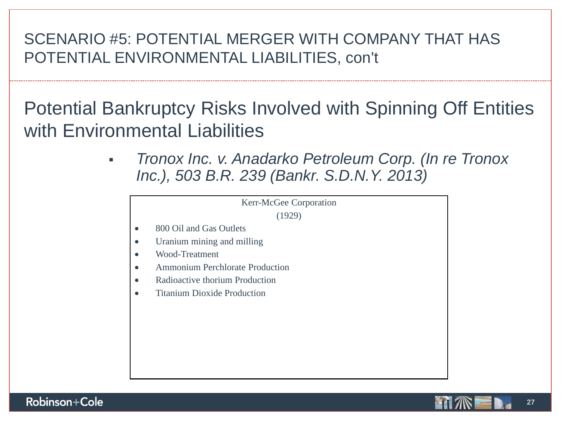Potential Bankruptcy Risks Involved with Spinning Off Entities with Environmental Liabilities

> *Tronox Inc. v. Anadarko Petroleum Corp. (In re Tronox Inc.), 503 B.R. 239 (Bankr. S.D.N.Y. 2013)*



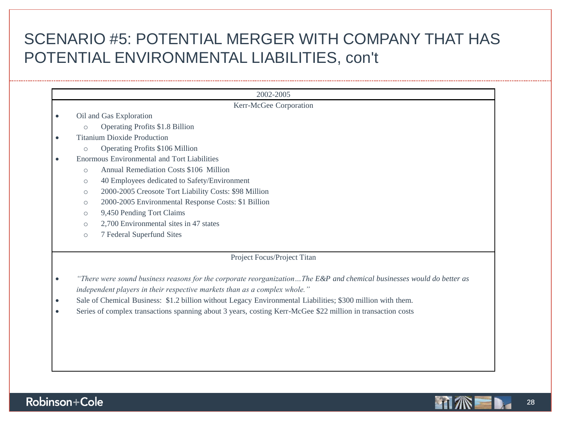|                                                                                                                       | 2002-2005                                                                                                   |  |  |
|-----------------------------------------------------------------------------------------------------------------------|-------------------------------------------------------------------------------------------------------------|--|--|
| Kerr-McGee Corporation                                                                                                |                                                                                                             |  |  |
|                                                                                                                       | Oil and Gas Exploration                                                                                     |  |  |
|                                                                                                                       | Operating Profits \$1.8 Billion<br>$\circ$                                                                  |  |  |
|                                                                                                                       | <b>Titanium Dioxide Production</b>                                                                          |  |  |
|                                                                                                                       | Operating Profits \$106 Million<br>$\bigcap$                                                                |  |  |
|                                                                                                                       | Enormous Environmental and Tort Liabilities                                                                 |  |  |
|                                                                                                                       | Annual Remediation Costs \$106 Million<br>$\circ$                                                           |  |  |
|                                                                                                                       | 40 Employees dedicated to Safety/Environment<br>$\circ$                                                     |  |  |
|                                                                                                                       | 2000-2005 Creosote Tort Liability Costs: \$98 Million<br>$\circ$                                            |  |  |
|                                                                                                                       | 2000-2005 Environmental Response Costs: \$1 Billion<br>$\circ$                                              |  |  |
|                                                                                                                       | 9,450 Pending Tort Claims<br>$\circ$                                                                        |  |  |
|                                                                                                                       | 2,700 Environmental sites in 47 states<br>$\circ$                                                           |  |  |
|                                                                                                                       | 7 Federal Superfund Sites<br>$\circ$                                                                        |  |  |
|                                                                                                                       |                                                                                                             |  |  |
|                                                                                                                       | Project Focus/Project Titan                                                                                 |  |  |
|                                                                                                                       |                                                                                                             |  |  |
| "There were sound business reasons for the corporate reorganizationThe E&P and chemical businesses would do better as |                                                                                                             |  |  |
| independent players in their respective markets than as a complex whole."                                             |                                                                                                             |  |  |
| Sale of Chemical Business: \$1.2 billion without Legacy Environmental Liabilities; \$300 million with them.           |                                                                                                             |  |  |
|                                                                                                                       | Series of complex transactions spanning about 3 years, costing Kerr-McGee \$22 million in transaction costs |  |  |
|                                                                                                                       |                                                                                                             |  |  |
|                                                                                                                       |                                                                                                             |  |  |
|                                                                                                                       |                                                                                                             |  |  |
|                                                                                                                       |                                                                                                             |  |  |



-------------



------------------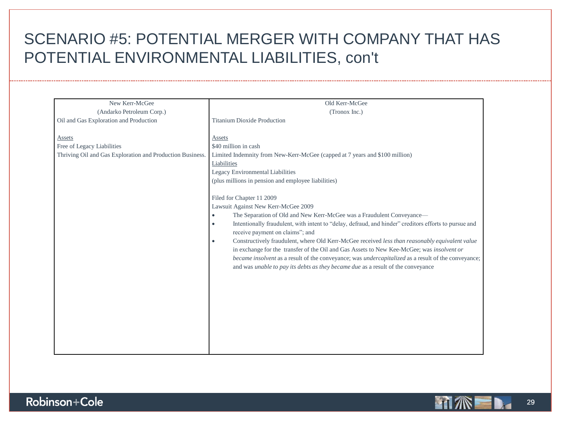| New Kerr-McGee                                            | Old Kerr-McGee                                                                                                                                                                                           |
|-----------------------------------------------------------|----------------------------------------------------------------------------------------------------------------------------------------------------------------------------------------------------------|
| (Andarko Petroleum Corp.)                                 | (Tronox Inc.)                                                                                                                                                                                            |
| Oil and Gas Exploration and Production                    | <b>Titanium Dioxide Production</b>                                                                                                                                                                       |
|                                                           |                                                                                                                                                                                                          |
| Assets                                                    | Assets                                                                                                                                                                                                   |
| Free of Legacy Liabilities                                | \$40 million in cash                                                                                                                                                                                     |
| Thriving Oil and Gas Exploration and Production Business. | Limited Indemnity from New-Kerr-McGee (capped at 7 years and \$100 million)                                                                                                                              |
|                                                           | Liabilities                                                                                                                                                                                              |
|                                                           | Legacy Environmental Liabilities                                                                                                                                                                         |
|                                                           | (plus millions in pension and employee liabilities)                                                                                                                                                      |
|                                                           |                                                                                                                                                                                                          |
|                                                           | Filed for Chapter 11 2009                                                                                                                                                                                |
|                                                           | Lawsuit Against New Kerr-McGee 2009                                                                                                                                                                      |
|                                                           | The Separation of Old and New Kerr-McGee was a Fraudulent Conveyance-<br>$\bullet$                                                                                                                       |
|                                                           | Intentionally fraudulent, with intent to "delay, defraud, and hinder" creditors efforts to pursue and<br>$\bullet$                                                                                       |
|                                                           | receive payment on claims"; and                                                                                                                                                                          |
|                                                           | Constructively fraudulent, where Old Kerr-McGee received less than reasonably equivalent value<br>$\bullet$<br>in exchange for the transfer of the Oil and Gas Assets to New Kee-McGee; was insolvent or |
|                                                           | became insolvent as a result of the conveyance; was <i>undercapitalized</i> as a result of the conveyance;                                                                                               |
|                                                           | and was <i>unable to pay its debts as they became due</i> as a result of the conveyance                                                                                                                  |
|                                                           |                                                                                                                                                                                                          |
|                                                           |                                                                                                                                                                                                          |
|                                                           |                                                                                                                                                                                                          |
|                                                           |                                                                                                                                                                                                          |
|                                                           |                                                                                                                                                                                                          |
|                                                           |                                                                                                                                                                                                          |
|                                                           |                                                                                                                                                                                                          |
|                                                           |                                                                                                                                                                                                          |
|                                                           |                                                                                                                                                                                                          |
|                                                           |                                                                                                                                                                                                          |